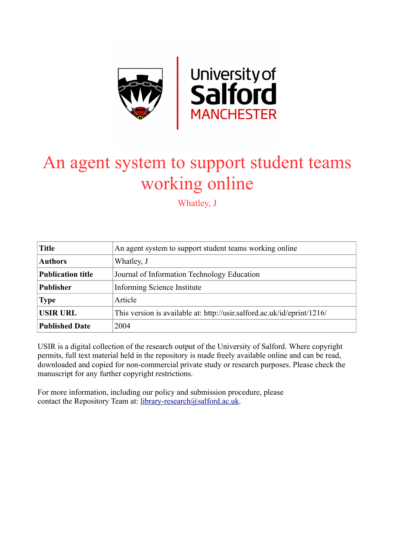

# An agent system to support student teams working online

Whatley, J

| <b>Title</b>             | An agent system to support student teams working online                 |  |  |
|--------------------------|-------------------------------------------------------------------------|--|--|
| <b>Authors</b>           | Whatley, J                                                              |  |  |
| <b>Publication title</b> | Journal of Information Technology Education                             |  |  |
| <b>Publisher</b>         | Informing Science Institute                                             |  |  |
| <b>Type</b>              | Article                                                                 |  |  |
| <b>USIR URL</b>          | This version is available at: http://usir.salford.ac.uk/id/eprint/1216/ |  |  |
| <b>Published Date</b>    | 2004                                                                    |  |  |

USIR is a digital collection of the research output of the University of Salford. Where copyright permits, full text material held in the repository is made freely available online and can be read, downloaded and copied for non-commercial private study or research purposes. Please check the manuscript for any further copyright restrictions.

For more information, including our policy and submission procedure, please contact the Repository Team at: [library-research@salford.ac.uk.](mailto:library-research@salford.ac.uk)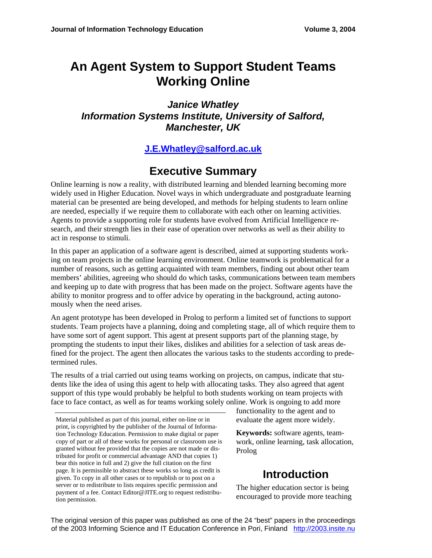# **An Agent System to Support Student Teams Working Online**

*Janice Whatley Information Systems Institute, University of Salford, Manchester, UK* 

#### **J.E.Whatley@salford.ac.uk**

# **Executive Summary**

Online learning is now a reality, with distributed learning and blended learning becoming more widely used in Higher Education. Novel ways in which undergraduate and postgraduate learning material can be presented are being developed, and methods for helping students to learn online are needed, especially if we require them to collaborate with each other on learning activities. Agents to provide a supporting role for students have evolved from Artificial Intelligence research, and their strength lies in their ease of operation over networks as well as their ability to act in response to stimuli.

In this paper an application of a software agent is described, aimed at supporting students working on team projects in the online learning environment. Online teamwork is problematical for a number of reasons, such as getting acquainted with team members, finding out about other team members' abilities, agreeing who should do which tasks, communications between team members and keeping up to date with progress that has been made on the project. Software agents have the ability to monitor progress and to offer advice by operating in the background, acting autonomously when the need arises.

An agent prototype has been developed in Prolog to perform a limited set of functions to support students. Team projects have a planning, doing and completing stage, all of which require them to have some sort of agent support. This agent at present supports part of the planning stage, by prompting the students to input their likes, dislikes and abilities for a selection of task areas defined for the project. The agent then allocates the various tasks to the students according to predetermined rules.

The results of a trial carried out using teams working on projects, on campus, indicate that students like the idea of using this agent to help with allocating tasks. They also agreed that agent support of this type would probably be helpful to both students working on team projects with face to face contact, as well as for teams working solely online. Work is ongoing to add more

Material published as part of this journal, either on-line or in print, is copyrighted by the publisher of the Journal of Information Technology Education. Permission to make digital or paper copy of part or all of these works for personal or classroom use is granted without fee provided that the copies are not made or distributed for profit or commercial advantage AND that copies 1) bear this notice in full and 2) give the full citation on the first page. It is permissible to abstract these works so long as credit is given. To copy in all other cases or to republish or to post on a server or to redistribute to lists requires specific permission and payment of a fee. Contact Editor@JITE.org to request redistribution permission.

functionality to the agent and to evaluate the agent more widely.

**Keywords:** software agents, teamwork, online learning, task allocation, Prolog

# **Introduction**

The higher education sector is being encouraged to provide more teaching

The original version of this paper was published as one of the 24 "best" papers in the proceedings of the 2003 Informing Science and IT Education Conference in Pori, Finland http://2003.insite.nu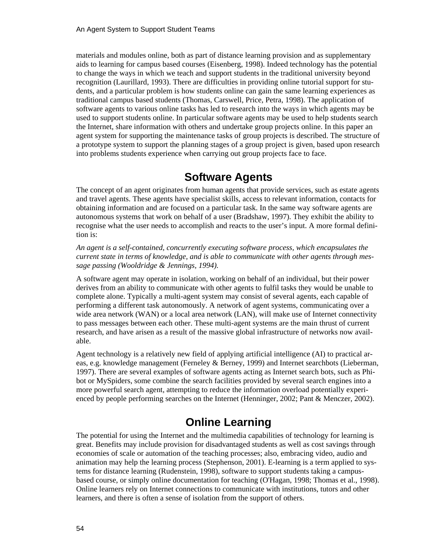materials and modules online, both as part of distance learning provision and as supplementary aids to learning for campus based courses (Eisenberg, 1998). Indeed technology has the potential to change the ways in which we teach and support students in the traditional university beyond recognition (Laurillard, 1993). There are difficulties in providing online tutorial support for students, and a particular problem is how students online can gain the same learning experiences as traditional campus based students (Thomas, Carswell, Price, Petra, 1998). The application of software agents to various online tasks has led to research into the ways in which agents may be used to support students online. In particular software agents may be used to help students search the Internet, share information with others and undertake group projects online. In this paper an agent system for supporting the maintenance tasks of group projects is described. The structure of a prototype system to support the planning stages of a group project is given, based upon research into problems students experience when carrying out group projects face to face.

### **Software Agents**

The concept of an agent originates from human agents that provide services, such as estate agents and travel agents. These agents have specialist skills, access to relevant information, contacts for obtaining information and are focused on a particular task. In the same way software agents are autonomous systems that work on behalf of a user (Bradshaw, 1997). They exhibit the ability to recognise what the user needs to accomplish and reacts to the user's input. A more formal definition is:

*An agent is a self-contained, concurrently executing software process, which encapsulates the current state in terms of knowledge, and is able to communicate with other agents through message passing (Wooldridge & Jennings, 1994).* 

A software agent may operate in isolation, working on behalf of an individual, but their power derives from an ability to communicate with other agents to fulfil tasks they would be unable to complete alone. Typically a multi-agent system may consist of several agents, each capable of performing a different task autonomously. A network of agent systems, communicating over a wide area network (WAN) or a local area network (LAN), will make use of Internet connectivity to pass messages between each other. These multi-agent systems are the main thrust of current research, and have arisen as a result of the massive global infrastructure of networks now available.

Agent technology is a relatively new field of applying artificial intelligence (AI) to practical areas, e.g. knowledge management (Ferneley & Berney, 1999) and Internet searchbots (Lieberman, 1997). There are several examples of software agents acting as Internet search bots, such as Phibot or MySpiders, some combine the search facilities provided by several search engines into a more powerful search agent, attempting to reduce the information overload potentially experienced by people performing searches on the Internet (Henninger, 2002; Pant & Menczer, 2002).

# **Online Learning**

The potential for using the Internet and the multimedia capabilities of technology for learning is great. Benefits may include provision for disadvantaged students as well as cost savings through economies of scale or automation of the teaching processes; also, embracing video, audio and animation may help the learning process (Stephenson, 2001). E-learning is a term applied to systems for distance learning (Rudenstein, 1998), software to support students taking a campusbased course, or simply online documentation for teaching (O'Hagan, 1998; Thomas et al., 1998). Online learners rely on Internet connections to communicate with institutions, tutors and other learners, and there is often a sense of isolation from the support of others.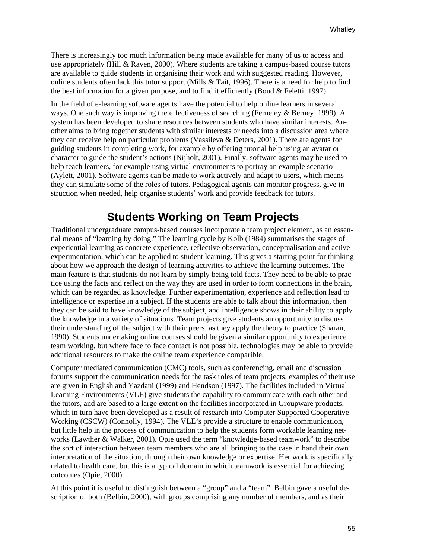There is increasingly too much information being made available for many of us to access and use appropriately (Hill & Raven, 2000). Where students are taking a campus-based course tutors are available to guide students in organising their work and with suggested reading. However, online students often lack this tutor support (Mills & Tait, 1996). There is a need for help to find the best information for a given purpose, and to find it efficiently (Boud & Feletti, 1997).

In the field of e-learning software agents have the potential to help online learners in several ways. One such way is improving the effectiveness of searching (Ferneley & Berney, 1999). A system has been developed to share resources between students who have similar interests. Another aims to bring together students with similar interests or needs into a discussion area where they can receive help on particular problems (Vassileva & Deters, 2001). There are agents for guiding students in completing work, for example by offering tutorial help using an avatar or character to guide the student's actions (Nijholt, 2001). Finally, software agents may be used to help teach learners, for example using virtual environments to portray an example scenario (Aylett, 2001). Software agents can be made to work actively and adapt to users, which means they can simulate some of the roles of tutors. Pedagogical agents can monitor progress, give instruction when needed, help organise students' work and provide feedback for tutors.

#### **Students Working on Team Projects**

Traditional undergraduate campus-based courses incorporate a team project element, as an essential means of "learning by doing." The learning cycle by Kolb (1984) summarises the stages of experiential learning as concrete experience, reflective observation, conceptualisation and active experimentation, which can be applied to student learning. This gives a starting point for thinking about how we approach the design of learning activities to achieve the learning outcomes. The main feature is that students do not learn by simply being told facts. They need to be able to practice using the facts and reflect on the way they are used in order to form connections in the brain, which can be regarded as knowledge. Further experimentation, experience and reflection lead to intelligence or expertise in a subject. If the students are able to talk about this information, then they can be said to have knowledge of the subject, and intelligence shows in their ability to apply the knowledge in a variety of situations. Team projects give students an opportunity to discuss their understanding of the subject with their peers, as they apply the theory to practice (Sharan, 1990). Students undertaking online courses should be given a similar opportunity to experience team working, but where face to face contact is not possible, technologies may be able to provide additional resources to make the online team experience comparible.

Computer mediated communication (CMC) tools, such as conferencing, email and discussion forums support the communication needs for the task roles of team projects, examples of their use are given in English and Yazdani (1999) and Hendson (1997). The facilities included in Virtual Learning Environments (VLE) give students the capability to communicate with each other and the tutors, and are based to a large extent on the facilities incorporated in Groupware products, which in turn have been developed as a result of research into Computer Supported Cooperative Working (CSCW) (Connolly, 1994). The VLE's provide a structure to enable communication, but little help in the process of communication to help the students form workable learning networks (Lawther & Walker, 2001). Opie used the term "knowledge-based teamwork" to describe the sort of interaction between team members who are all bringing to the case in hand their own interpretation of the situation, through their own knowledge or expertise. Her work is specifically related to health care, but this is a typical domain in which teamwork is essential for achieving outcomes (Opie, 2000).

At this point it is useful to distinguish between a "group" and a "team". Belbin gave a useful description of both (Belbin, 2000), with groups comprising any number of members, and as their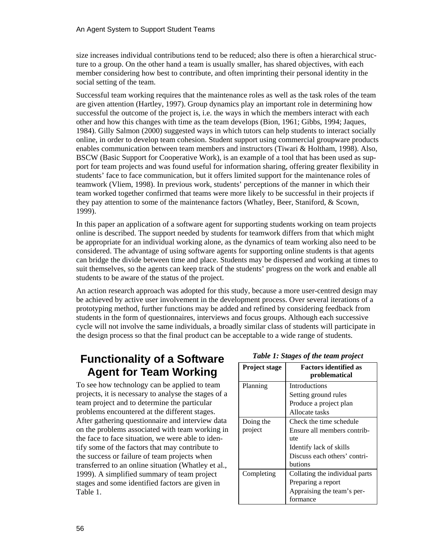size increases individual contributions tend to be reduced; also there is often a hierarchical structure to a group. On the other hand a team is usually smaller, has shared objectives, with each member considering how best to contribute, and often imprinting their personal identity in the social setting of the team.

Successful team working requires that the maintenance roles as well as the task roles of the team are given attention (Hartley, 1997). Group dynamics play an important role in determining how successful the outcome of the project is, i.e. the ways in which the members interact with each other and how this changes with time as the team develops (Bion, 1961; Gibbs, 1994; Jaques, 1984). Gilly Salmon (2000) suggested ways in which tutors can help students to interact socially online, in order to develop team cohesion. Student support using commercial groupware products enables communication between team members and instructors (Tiwari & Holtham, 1998). Also, BSCW (Basic Support for Cooperative Work), is an example of a tool that has been used as support for team projects and was found useful for information sharing, offering greater flexibility in students' face to face communication, but it offers limited support for the maintenance roles of teamwork (Vliem, 1998). In previous work, students' perceptions of the manner in which their team worked together confirmed that teams were more likely to be successful in their projects if they pay attention to some of the maintenance factors (Whatley, Beer, Staniford, & Scown, 1999).

In this paper an application of a software agent for supporting students working on team projects online is described. The support needed by students for teamwork differs from that which might be appropriate for an individual working alone, as the dynamics of team working also need to be considered. The advantage of using software agents for supporting online students is that agents can bridge the divide between time and place. Students may be dispersed and working at times to suit themselves, so the agents can keep track of the students' progress on the work and enable all students to be aware of the status of the project.

An action research approach was adopted for this study, because a more user-centred design may be achieved by active user involvement in the development process. Over several iterations of a prototyping method, further functions may be added and refined by considering feedback from students in the form of questionnaires, interviews and focus groups. Although each successive cycle will not involve the same individuals, a broadly similar class of students will participate in the design process so that the final product can be acceptable to a wide range of students.

#### **Functionality of a Software Agent for Team Working**

To see how technology can be applied to team projects, it is necessary to analyse the stages of a team project and to determine the particular problems encountered at the different stages. After gathering questionnaire and interview data on the problems associated with team working in the face to face situation, we were able to identify some of the factors that may contribute to the success or failure of team projects when transferred to an online situation (Whatley et al., 1999). A simplified summary of team project stages and some identified factors are given in Table 1.

| <b>Project stage</b> | <b>Factors identified as</b><br>problematical |  |  |
|----------------------|-----------------------------------------------|--|--|
| Planning             | Introductions                                 |  |  |
|                      | Setting ground rules                          |  |  |
|                      | Produce a project plan                        |  |  |
|                      | Allocate tasks                                |  |  |
| Doing the            | Check the time schedule                       |  |  |
| project              | Ensure all members contrib-                   |  |  |
|                      | ute                                           |  |  |
|                      | Identify lack of skills                       |  |  |
|                      | Discuss each others' contri-                  |  |  |
|                      | butions                                       |  |  |
| Completing           | Collating the individual parts                |  |  |
|                      | Preparing a report                            |  |  |
|                      | Appraising the team's per-                    |  |  |
|                      | formance                                      |  |  |

#### *Table 1: Stages of the team project*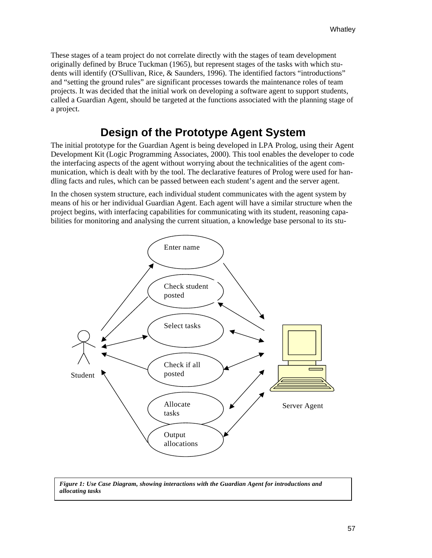These stages of a team project do not correlate directly with the stages of team development originally defined by Bruce Tuckman (1965), but represent stages of the tasks with which students will identify (O'Sullivan, Rice, & Saunders, 1996). The identified factors "introductions" and "setting the ground rules" are significant processes towards the maintenance roles of team projects. It was decided that the initial work on developing a software agent to support students, called a Guardian Agent, should be targeted at the functions associated with the planning stage of a project.

# **Design of the Prototype Agent System**

The initial prototype for the Guardian Agent is being developed in LPA Prolog, using their Agent Development Kit (Logic Programming Associates, 2000). This tool enables the developer to code the interfacing aspects of the agent without worrying about the technicalities of the agent communication, which is dealt with by the tool. The declarative features of Prolog were used for handling facts and rules, which can be passed between each student's agent and the server agent.

In the chosen system structure, each individual student communicates with the agent system by means of his or her individual Guardian Agent. Each agent will have a similar structure when the project begins, with interfacing capabilities for communicating with its student, reasoning capabilities for monitoring and analysing the current situation, a knowledge base personal to its stu-



*Figure 1: Use Case Diagram, showing interactions with the Guardian Agent for introductions and allocating tasks*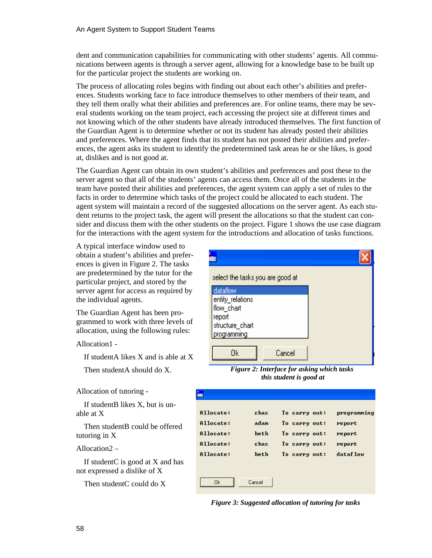dent and communication capabilities for communicating with other students' agents. All communications between agents is through a server agent, allowing for a knowledge base to be built up for the particular project the students are working on.

The process of allocating roles begins with finding out about each other's abilities and preferences. Students working face to face introduce themselves to other members of their team, and they tell them orally what their abilities and preferences are. For online teams, there may be several students working on the team project, each accessing the project site at different times and not knowing which of the other students have already introduced themselves. The first function of the Guardian Agent is to determine whether or not its student has already posted their abilities and preferences. Where the agent finds that its student has not posted their abilities and preferences, the agent asks its student to identify the predetermined task areas he or she likes, is good at, dislikes and is not good at.

The Guardian Agent can obtain its own student's abilities and preferences and post these to the server agent so that all of the students' agents can access them. Once all of the students in the team have posted their abilities and preferences, the agent system can apply a set of rules to the facts in order to determine which tasks of the project could be allocated to each student. The agent system will maintain a record of the suggested allocations on the server agent. As each student returns to the project task, the agent will present the allocations so that the student can consider and discuss them with the other students on the project. Figure 1 shows the use case diagram for the interactions with the agent system for the introductions and allocation of tasks functions.

A typical interface window used to obtain a student's abilities and preferences is given in Figure 2. The tasks are predetermined by the tutor for the particular project, and stored by the server agent for access as required by the individual agents.

The Guardian Agent has been programmed to work with three levels of allocation, using the following rules:

Allocation1 -

If studentA likes X and is able at X

Then studentA should do X.

Allocation of tutoring -

 If studentB likes X, but is unable at X

 Then studentB could be offered tutoring in X

#### Allocation2 –

 If studentC is good at X and has not expressed a dislike of X

Then studentC could do X



*Figure 2: Interface for asking which tasks this student is good at*

| Allocate: | chas   | To carry out: | programming |
|-----------|--------|---------------|-------------|
| Allocate: | adam   | To carry out: | report      |
| Allocate: | heth   | To carry out: | report      |
| Allocate: | chas   | To carry out: | report      |
| Allocate: | heth   | To carry out: | dataflow    |
|           |        |               |             |
|           |        |               |             |
| 0k        | Cancel |               |             |

*Figure 3: Suggested allocation of tutoring for tasks*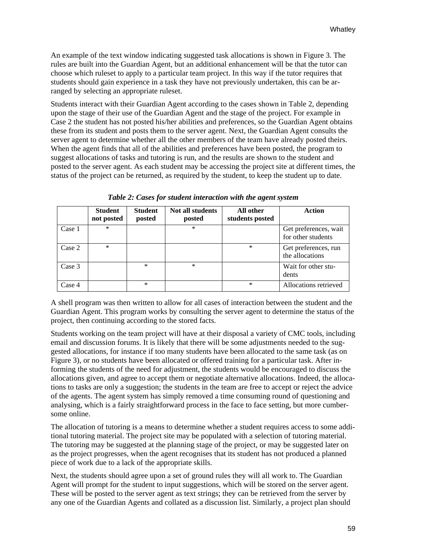An example of the text window indicating suggested task allocations is shown in Figure 3. The rules are built into the Guardian Agent, but an additional enhancement will be that the tutor can choose which ruleset to apply to a particular team project. In this way if the tutor requires that students should gain experience in a task they have not previously undertaken, this can be arranged by selecting an appropriate ruleset.

Students interact with their Guardian Agent according to the cases shown in Table 2, depending upon the stage of their use of the Guardian Agent and the stage of the project. For example in Case 2 the student has not posted his/her abilities and preferences, so the Guardian Agent obtains these from its student and posts them to the server agent. Next, the Guardian Agent consults the server agent to determine whether all the other members of the team have already posted theirs. When the agent finds that all of the abilities and preferences have been posted, the program to suggest allocations of tasks and tutoring is run, and the results are shown to the student and posted to the server agent. As each student may be accessing the project site at different times, the status of the project can be returned, as required by the student, to keep the student up to date.

|        | <b>Student</b><br>not posted | <b>Student</b><br>posted | Not all students<br>posted | All other<br>students posted | <b>Action</b>                               |
|--------|------------------------------|--------------------------|----------------------------|------------------------------|---------------------------------------------|
| Case 1 | $\ast$                       |                          | $\ast$                     |                              | Get preferences, wait<br>for other students |
| Case 2 | $\ast$                       |                          |                            | $\ast$                       | Get preferences, run<br>the allocations     |
| Case 3 |                              | $\ast$                   | $\ast$                     |                              | Wait for other stu-<br>dents                |
| Case 4 |                              | $\ast$                   |                            | $\ast$                       | Allocations retrieved                       |

*Table 2: Cases for student interaction with the agent system* 

A shell program was then written to allow for all cases of interaction between the student and the Guardian Agent. This program works by consulting the server agent to determine the status of the project, then continuing according to the stored facts.

Students working on the team project will have at their disposal a variety of CMC tools, including email and discussion forums. It is likely that there will be some adjustments needed to the suggested allocations, for instance if too many students have been allocated to the same task (as on Figure 3), or no students have been allocated or offered training for a particular task. After informing the students of the need for adjustment, the students would be encouraged to discuss the allocations given, and agree to accept them or negotiate alternative allocations. Indeed, the allocations to tasks are only a suggestion; the students in the team are free to accept or reject the advice of the agents. The agent system has simply removed a time consuming round of questioning and analysing, which is a fairly straightforward process in the face to face setting, but more cumbersome online.

The allocation of tutoring is a means to determine whether a student requires access to some additional tutoring material. The project site may be populated with a selection of tutoring material. The tutoring may be suggested at the planning stage of the project, or may be suggested later on as the project progresses, when the agent recognises that its student has not produced a planned piece of work due to a lack of the appropriate skills.

Next, the students should agree upon a set of ground rules they will all work to. The Guardian Agent will prompt for the student to input suggestions, which will be stored on the server agent. These will be posted to the server agent as text strings; they can be retrieved from the server by any one of the Guardian Agents and collated as a discussion list. Similarly, a project plan should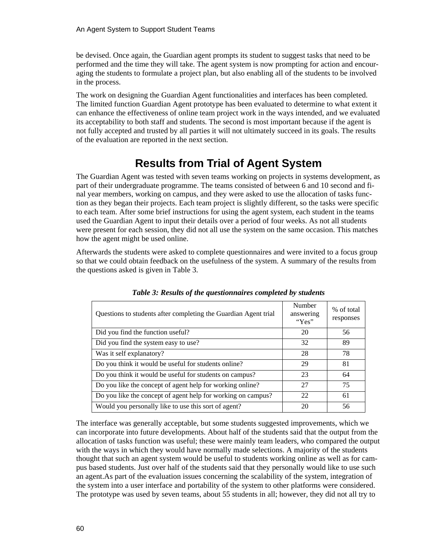be devised. Once again, the Guardian agent prompts its student to suggest tasks that need to be performed and the time they will take. The agent system is now prompting for action and encouraging the students to formulate a project plan, but also enabling all of the students to be involved in the process.

The work on designing the Guardian Agent functionalities and interfaces has been completed. The limited function Guardian Agent prototype has been evaluated to determine to what extent it can enhance the effectiveness of online team project work in the ways intended, and we evaluated its acceptability to both staff and students. The second is most important because if the agent is not fully accepted and trusted by all parties it will not ultimately succeed in its goals. The results of the evaluation are reported in the next section.

## **Results from Trial of Agent System**

The Guardian Agent was tested with seven teams working on projects in systems development, as part of their undergraduate programme. The teams consisted of between 6 and 10 second and final year members, working on campus, and they were asked to use the allocation of tasks function as they began their projects. Each team project is slightly different, so the tasks were specific to each team. After some brief instructions for using the agent system, each student in the teams used the Guardian Agent to input their details over a period of four weeks. As not all students were present for each session, they did not all use the system on the same occasion. This matches how the agent might be used online.

Afterwards the students were asked to complete questionnaires and were invited to a focus group so that we could obtain feedback on the usefulness of the system. A summary of the results from the questions asked is given in Table 3.

| Questions to students after completing the Guardian Agent trial | Number<br>answering<br>"Yes" | % of total<br>responses |
|-----------------------------------------------------------------|------------------------------|-------------------------|
| Did you find the function useful?                               | 20                           | 56                      |
| Did you find the system easy to use?                            | 32                           | 89                      |
| Was it self explanatory?                                        | 28                           | 78                      |
| Do you think it would be useful for students online?            | 29                           | 81                      |
| Do you think it would be useful for students on campus?         | 23                           | 64                      |
| Do you like the concept of agent help for working online?       | 27                           | 75                      |
| Do you like the concept of agent help for working on campus?    | 22                           | 61                      |
| Would you personally like to use this sort of agent?            | 20                           | 56                      |

*Table 3: Results of the questionnaires completed by students* 

The interface was generally acceptable, but some students suggested improvements, which we can incorporate into future developments. About half of the students said that the output from the allocation of tasks function was useful; these were mainly team leaders, who compared the output with the ways in which they would have normally made selections. A majority of the students thought that such an agent system would be useful to students working online as well as for campus based students. Just over half of the students said that they personally would like to use such an agent.As part of the evaluation issues concerning the scalability of the system, integration of the system into a user interface and portability of the system to other platforms were considered. The prototype was used by seven teams, about 55 students in all; however, they did not all try to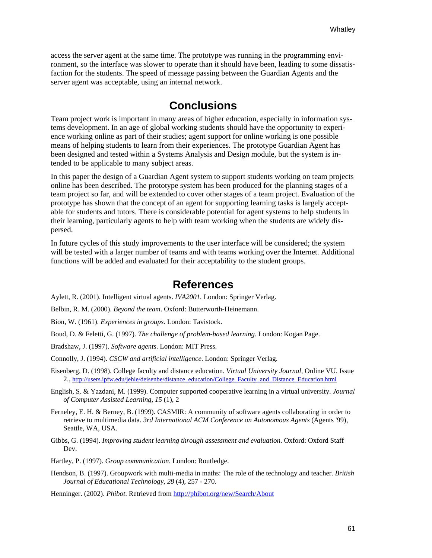access the server agent at the same time. The prototype was running in the programming environment, so the interface was slower to operate than it should have been, leading to some dissatisfaction for the students. The speed of message passing between the Guardian Agents and the server agent was acceptable, using an internal network.

#### **Conclusions**

Team project work is important in many areas of higher education, especially in information systems development. In an age of global working students should have the opportunity to experience working online as part of their studies; agent support for online working is one possible means of helping students to learn from their experiences. The prototype Guardian Agent has been designed and tested within a Systems Analysis and Design module, but the system is intended to be applicable to many subject areas.

In this paper the design of a Guardian Agent system to support students working on team projects online has been described. The prototype system has been produced for the planning stages of a team project so far, and will be extended to cover other stages of a team project. Evaluation of the prototype has shown that the concept of an agent for supporting learning tasks is largely acceptable for students and tutors. There is considerable potential for agent systems to help students in their learning, particularly agents to help with team working when the students are widely dispersed.

In future cycles of this study improvements to the user interface will be considered; the system will be tested with a larger number of teams and with teams working over the Internet. Additional functions will be added and evaluated for their acceptability to the student groups.

#### **References**

Aylett, R. (2001). Intelligent virtual agents. *IVA2001.* London: Springer Verlag.

Belbin, R. M. (2000). *Beyond the team*. Oxford: Butterworth-Heinemann.

- Bion, W. (1961). *Experiences in groups*. London: Tavistock.
- Boud, D. & Feletti, G. (1997). *The challenge of problem-based learning*. London: Kogan Page.
- Bradshaw, J. (1997). *Software agents*. London: MIT Press.
- Connolly, J. (1994). *CSCW and artificial intelligence*. London: Springer Verlag.
- Eisenberg, D. (1998). College faculty and distance education. *Virtual University Journal*, Online VU. Issue 2., http://users.ipfw.edu/jehle/deisenbe/distance\_education/College\_Faculty\_and\_Distance\_Education.html
- English, S. & Yazdani, M. (1999). Computer supported cooperative learning in a virtual university. *Journal of Computer Assisted Learning, 15* (1), 2
- Ferneley, E. H. & Berney, B. (1999). CASMIR: A community of software agents collaborating in order to retrieve to multimedia data. *3rd International ACM Conference on Autonomous Agents* (Agents '99), Seattle, WA, USA.
- Gibbs, G. (1994). *Improving student learning through assessment and evaluation*. Oxford: Oxford Staff Dev.
- Hartley, P. (1997). *Group communication*. London: Routledge.
- Hendson, B. (1997). Groupwork with multi-media in maths: The role of the technology and teacher. *British Journal of Educational Technology, 28* (4), 257 - 270.

Henninger. (2002). *Phibot*. Retrieved from http://phibot.org/new/Search/About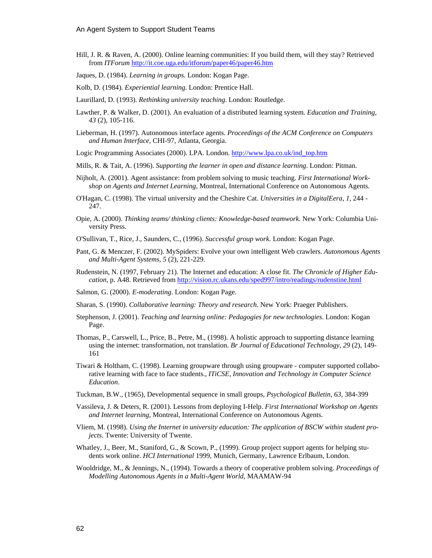- Hill, J. R. & Raven, A. (2000). Online learning communities: If you build them, will they stay? Retrieved from *ITForum* http://it.coe.uga.edu/itforum/paper46/paper46.htm
- Jaques, D. (1984). *Learning in groups*. London: Kogan Page.
- Kolb, D. (1984). *Experiential learning*. London: Prentice Hall.
- Laurillard, D. (1993). *Rethinking university teaching*. London: Routledge.
- Lawther, P. & Walker, D. (2001). An evaluation of a distributed learning system. *Education and Training, 43* (2), 105-116.
- Lieberman, H. (1997). Autonomous interface agents. *Proceedings of the ACM Conference on Computers and Human Interface*, CHI-97, Atlanta, Georgia.
- Logic Programming Associates (2000). LPA. London. http://www.lpa.co.uk/ind\_top.htm
- Mills, R. & Tait, A. (1996). *Supporting the learner in open and distance learning*. London: Pitman.
- Nijholt, A. (2001). Agent assistance: from problem solving to music teaching. *First International Workshop on Agents and Internet Learning*, Montreal, International Conference on Autonomous Agents.
- O'Hagan, C. (1998). The virtual university and the Cheshire Cat. *Universities in a DigitalEera, 1,* 244 247.
- Opie, A. (2000). *Thinking teams/ thinking clients: Knowledge-based teamwork*. New York: Columbia University Press.
- O'Sullivan, T., Rice, J., Saunders, C., (1996). *Successful group work*. London: Kogan Page.
- Pant, G. & Menczer, F. (2002). MySpiders: Evolve your own intelligent Web crawlers. *Autonomous Agents and Multi-Agent Systems, 5* (2), 221-229.
- Rudenstein, N. (1997, February 21). The Internet and education: A close fit. *The Chronicle of Higher Education*, p. A48. Retrieved from http://vision.rc.ukans.edu/sped997/intro/readings/rudenstine.html
- Salmon, G. (2000). *E-moderating*. London: Kogan Page.
- Sharan, S. (1990). *Collaborative learning: Theory and research*. New York: Praeger Publishers.
- Stephenson, J. (2001). *Teaching and learning online: Pedagogies for new technologies*. London: Kogan Page.
- Thomas, P., Carswell, L., Price, B., Petre, M., (1998). A holistic approach to supporting distance learning using the internet: transformation, not translation. *Br Journal of Educational Technology, 29* (2), 149- 161
- Tiwari & Holtham, C. (1998). Learning groupware through using groupware computer supported collaborative learning with face to face students., *ITiCSE, Innovation and Technology in Computer Science Education*.
- Tuckman, B.W., (1965), Developmental sequence in small groups, *Psychological Bulletin, 63*, 384-399
- Vassileva, J. & Deters, R. (2001). Lessons from deploying I-Help. *First International Workshop on Agents and Internet learning*, Montreal, International Conference on Autonomous Agents.
- Vliem, M. (1998). *Using the Internet in university education: The application of BSCW within student projects*. Twente: University of Twente.
- Whatley, J., Beer, M., Staniford, G., & Scown, P., (1999). Group project support agents for helping students work online. *HCI International* 1999, Munich, Germany, Lawrence Erlbaum, London.
- Wooldridge, M., & Jennings, N., (1994). Towards a theory of cooperative problem solving. *Proceedings of Modelling Autonomous Agents in a Multi-Agent World*, MAAMAW-94